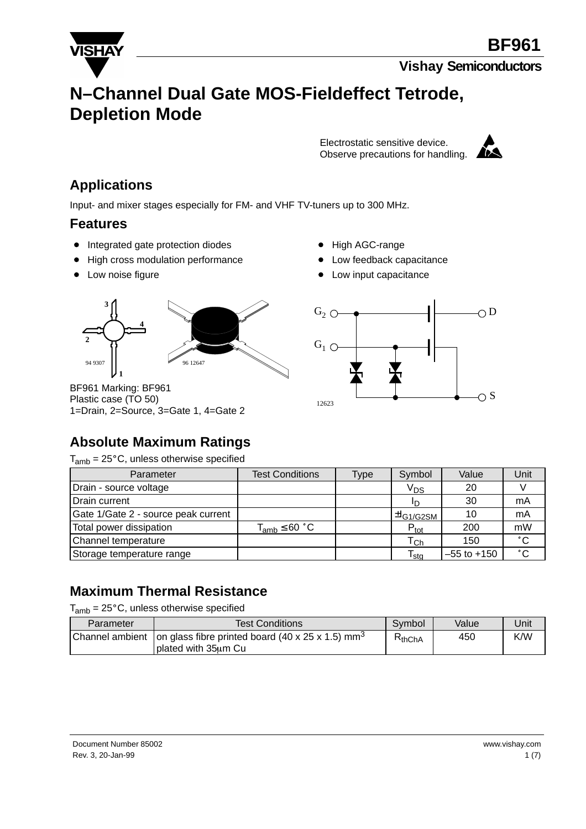

# **N–Channel Dual Gate MOS-Fieldeffect Tetrode, Depletion Mode**

Electrostatic sensitive device. Observe precautions for handling.



### **Applications**

Input- and mixer stages especially for FM- and VHF TV-tuners up to 300 MHz.

#### **Features**

- Integrated gate protection diodes
- High cross modulation performance
- Low noise figure
- High AGC-range
- Low feedback capacitance
- Low input capacitance



BF961 Marking: BF961 Plastic case (TO 50) 1=Drain, 2=Source, 3=Gate 1, 4=Gate 2



### **Absolute Maximum Ratings**

 $T_{amb}$  = 25 $^{\circ}$ C, unless otherwise specified

| Parameter                           | <b>Test Conditions</b> | Type | Symbol                            | Value           | Unit         |
|-------------------------------------|------------------------|------|-----------------------------------|-----------------|--------------|
| Drain - source voltage              |                        |      | V <sub>DS</sub>                   | 20              |              |
| Drain current                       |                        |      |                                   | 30              | mA           |
| Gate 1/Gate 2 - source peak current |                        |      | ⊺ <sup>±l</sup> G1 <u>/G2SM</u> ' | 10              | mA           |
| Total power dissipation             | $T_{amb} \leq 60 °C$   |      | $P_{\text{tot}}$                  | 200             | mW           |
| Channel temperature                 |                        |      | $\mathsf{T}_{\mathsf{Ch}}$        | 150             | $^{\circ}$ C |
| Storage temperature range           |                        |      | $\mathsf{T}_{\mathsf{stg}}$       | $-55$ to $+150$ | $^{\circ}$ C |

### **Maximum Thermal Resistance**

 $T_{amb}$  = 25 $^{\circ}$ C, unless otherwise specified

| Parameter | Test Conditions                                                                                       | Symbol            | Value | Unit |
|-----------|-------------------------------------------------------------------------------------------------------|-------------------|-------|------|
|           | Channel ambient   on glass fibre printed board (40 x 25 x 1.5) mm <sup>3</sup><br>Dlated with 35um Cu | $\mathsf{KthChA}$ | 450   | K/W  |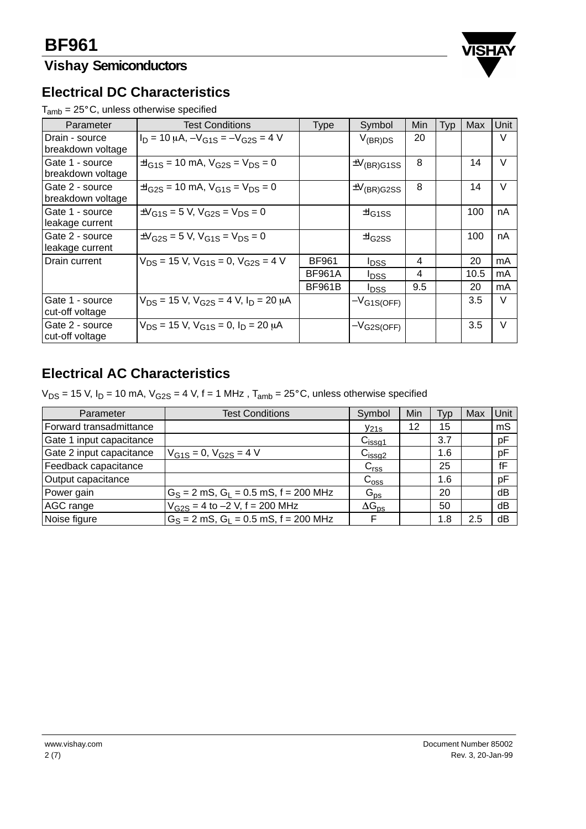## **Vishay Semiconductors**



### **Electrical DC Characteristics**

 $T_{amb} = 25^{\circ}$ C, unless otherwise specified

| Parameter                            | <b>Test Conditions</b>                                      | <b>Type</b>   | Symbol                    | Min | Typ | Max  | Unit   |
|--------------------------------------|-------------------------------------------------------------|---------------|---------------------------|-----|-----|------|--------|
| Drain - source<br>breakdown voltage  | $I_D = 10 \mu A$ , $-V_{G1S} = -V_{G2S} = 4 V$              |               | $V_{(BR)DS}$              | 20  |     |      | V      |
| Gate 1 - source<br>breakdown voltage | $\pm I_{G1S}$ = 10 mA, $V_{G2S}$ = $V_{DS}$ = 0             |               | $\pm V_{\text{(BR)}G1SS}$ | 8   |     | 14   | V      |
| Gate 2 - source<br>breakdown voltage | $\pm I_{\rm G2S}$ = 10 mA, $V_{\rm G1S}$ = $V_{\rm DS}$ = 0 |               | $\pm V_{\text{(BR)}G2SS}$ | 8   |     | 14   | $\vee$ |
| Gate 1 - source<br>leakage current   | $\pm V_{G1S}$ = 5 V, V <sub>G2S</sub> = V <sub>DS</sub> = 0 |               | $\pm$ <sub>G1SS</sub>     |     |     | 100  | nA     |
| Gate 2 - source<br>leakage current   | $\pm V_{\rm G2S} = 5$ V, $V_{\rm G1S} = V_{\rm DS} = 0$     |               | $H_{G2SS}$                |     |     | 100  | nA     |
| Drain current                        | $V_{DS}$ = 15 V, $V_{G1S}$ = 0, $V_{G2S}$ = 4 V             | <b>BF961</b>  | <b>IDSS</b>               | 4   |     | 20   | mA     |
|                                      |                                                             | <b>BF961A</b> | <b>IDSS</b>               | 4   |     | 10.5 | mA     |
|                                      |                                                             | <b>BF961B</b> | <b>IDSS</b>               | 9.5 |     | 20   | mA     |
| Gate 1 - source<br>cut-off voltage   | $V_{DS}$ = 15 V, $V_{G2S}$ = 4 V, $I_D$ = 20 $\mu$ A        |               | $-V_{G1S(OFF)}$           |     |     | 3.5  | $\vee$ |
| Gate 2 - source<br>cut-off voltage   | $V_{DS}$ = 15 V, $V_{G1S}$ = 0, $I_D$ = 20 $\mu$ A          |               | $-V$ G2S(OFF)             |     |     | 3.5  | $\vee$ |

### **Electrical AC Characteristics**

 $V_{DS}$  = 15 V, I<sub>D</sub> = 10 mA,  $V_{G2S}$  = 4 V, f = 1 MHz, T<sub>amb</sub> = 25°C, unless otherwise specified

| Parameter                | <b>Test Conditions</b>                      | Symbol             | Min | Typ | Max | Unit |
|--------------------------|---------------------------------------------|--------------------|-----|-----|-----|------|
| Forward transadmittance  |                                             | $y_{21s}$          | 12  | 15  |     | mS   |
| Gate 1 input capacitance |                                             | C <sub>issg1</sub> |     | 3.7 |     | pF   |
| Gate 2 input capacitance | $V_{G1S} = 0$ , $V_{G2S} = 4$ V             | C <sub>issg2</sub> |     | 1.6 |     | pF   |
| Feedback capacitance     |                                             | C <sub>rss</sub>   |     | 25  |     | fF   |
| Output capacitance       |                                             | $C_{\rm oss}$      |     | 1.6 |     | pF   |
| Power gain               | $G_S = 2$ mS, $G_L = 0.5$ mS, $f = 200$ MHz | $G_{DS}$           |     | 20  |     | dB   |
| AGC range                | $V_{G2S} = 4$ to $-2$ V, f = 200 MHz        | $\Delta G_{DS}$    |     | 50  |     | dB   |
| Noise figure             | $G_S = 2$ mS, $G_I = 0.5$ mS, $f = 200$ MHz | F                  |     | 1.8 | 2.5 | dB   |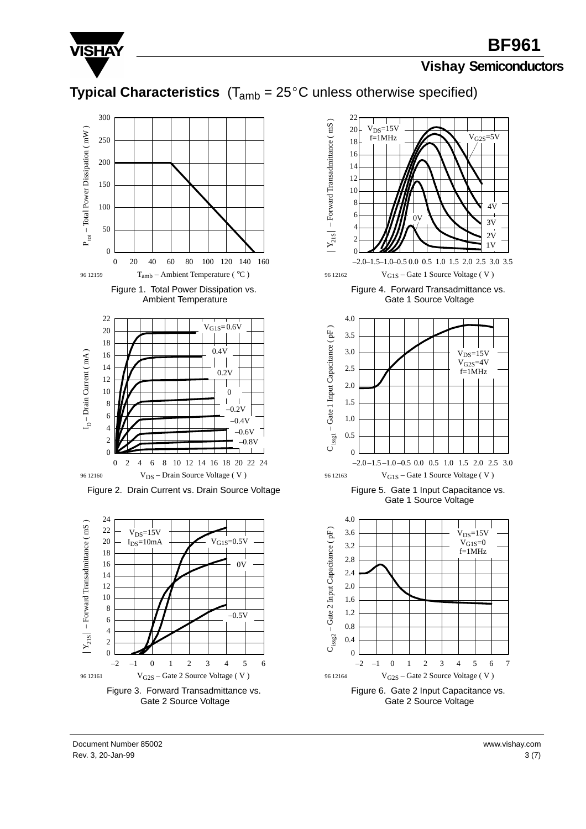

## **BF961**

#### **Vishay Semiconductors**

### **Typical Characteristics**  $(T_{amb} = 25^{\circ}C$  unless otherwise specified)









Rev. 3, 20-Jan-99  $3(7)$ Document Number 85002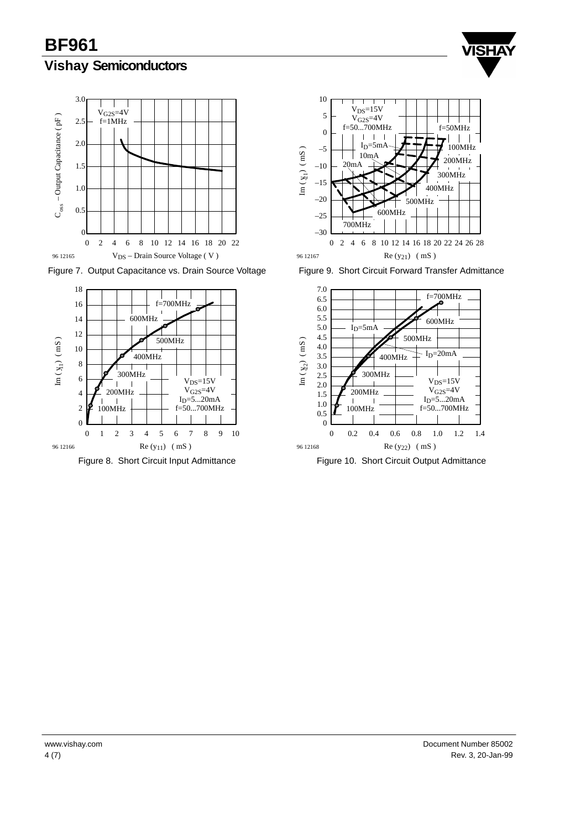**BF961 Vishay Semiconductors**





Figure 7. Output Capacitance vs. Drain Source Voltage



Figure 8. Short Circuit Input Admittance



Figure 9. Short Circuit Forward Transfer Admittance



Figure 10. Short Circuit Output Admittance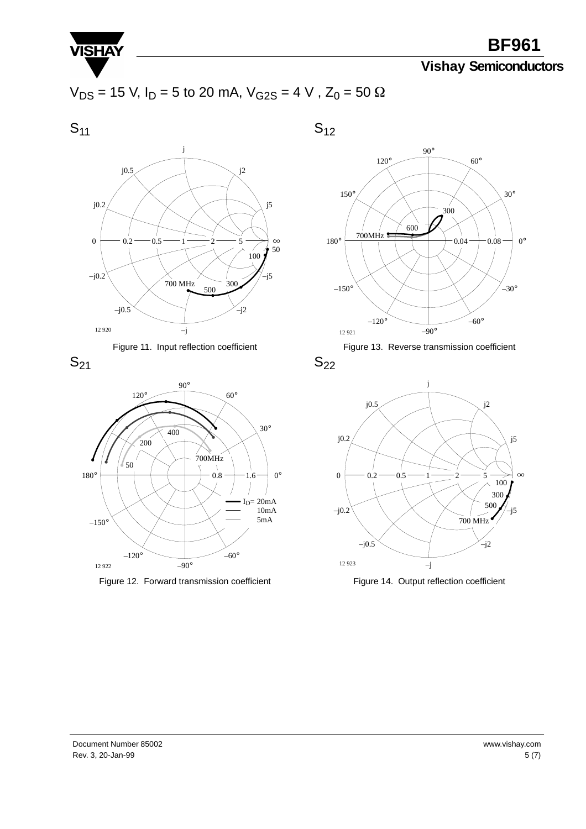

**BF961**

### **Vishay Semiconductors**

$$
V_{DS} = 15
$$
 V, I<sub>D</sub> = 5 to 20 mA, V<sub>G2S</sub> = 4 V, Z<sub>0</sub> = 50  $\Omega$ 

 $S_{11}$ 

 $S_{12}$ 









Figure 12. Forward transmission coefficient



Figure 13. Reverse transmission coefficient

 $S_{22}$ 



Figure 14. Output reflection coefficient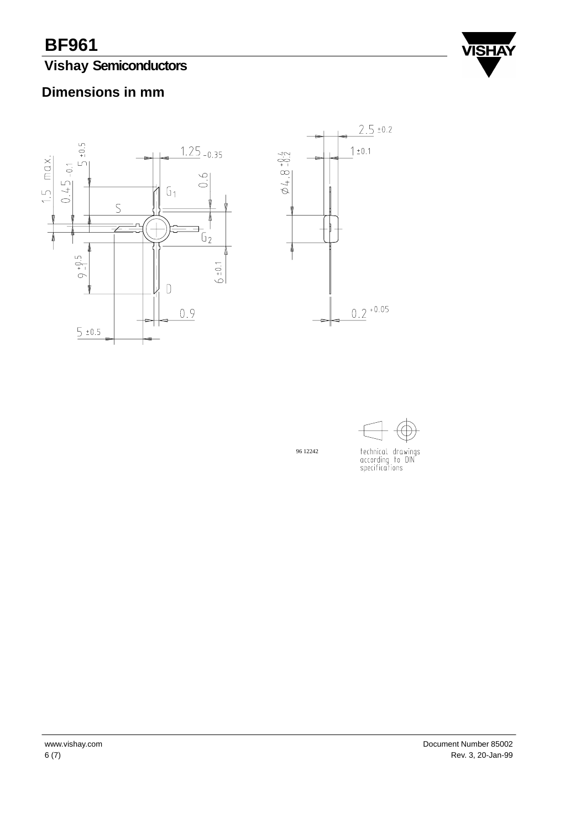## **Vishay Semiconductors**



### **Dimensions in mm**





technical drawings<br>according to DIN<br>specifications

96 12242